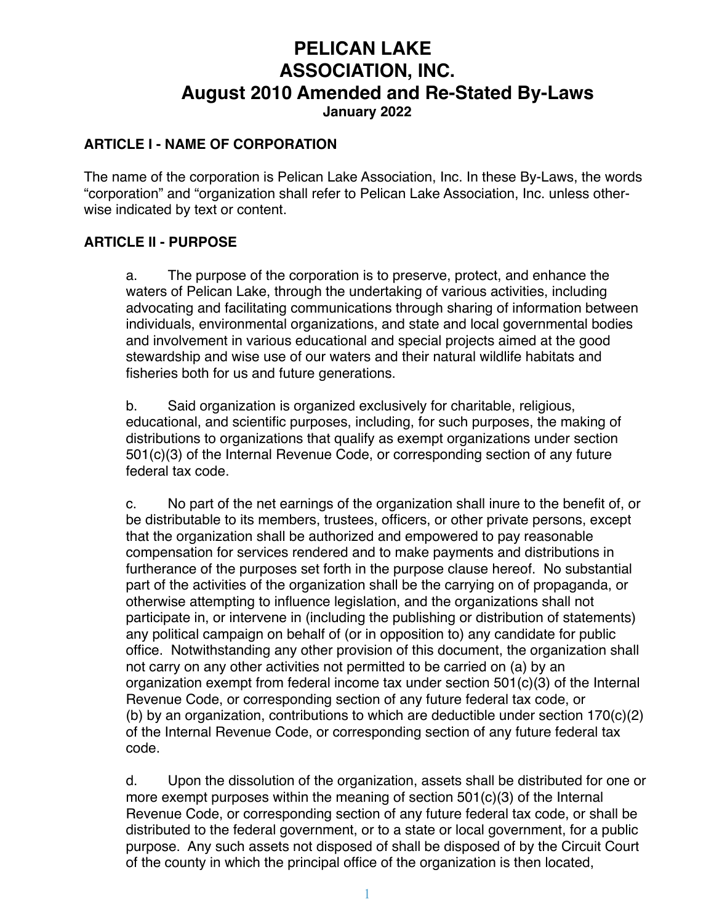# **PELICAN LAKE ASSOCIATION, INC. August 2010 Amended and Re-Stated By-Laws January 2022**

#### **ARTICLE I - NAME OF CORPORATION**

The name of the corporation is Pelican Lake Association, Inc. In these By-Laws, the words "corporation" and "organization shall refer to Pelican Lake Association, Inc. unless otherwise indicated by text or content.

#### **ARTICLE II - PURPOSE**

a. The purpose of the corporation is to preserve, protect, and enhance the waters of Pelican Lake, through the undertaking of various activities, including advocating and facilitating communications through sharing of information between individuals, environmental organizations, and state and local governmental bodies and involvement in various educational and special projects aimed at the good stewardship and wise use of our waters and their natural wildlife habitats and fisheries both for us and future generations.

b. Said organization is organized exclusively for charitable, religious, educational, and scientific purposes, including, for such purposes, the making of distributions to organizations that qualify as exempt organizations under section 501(c)(3) of the Internal Revenue Code, or corresponding section of any future federal tax code.

c. No part of the net earnings of the organization shall inure to the benefit of, or be distributable to its members, trustees, officers, or other private persons, except that the organization shall be authorized and empowered to pay reasonable compensation for services rendered and to make payments and distributions in furtherance of the purposes set forth in the purpose clause hereof. No substantial part of the activities of the organization shall be the carrying on of propaganda, or otherwise attempting to influence legislation, and the organizations shall not participate in, or intervene in (including the publishing or distribution of statements) any political campaign on behalf of (or in opposition to) any candidate for public office. Notwithstanding any other provision of this document, the organization shall not carry on any other activities not permitted to be carried on (a) by an organization exempt from federal income tax under section 501(c)(3) of the Internal Revenue Code, or corresponding section of any future federal tax code, or (b) by an organization, contributions to which are deductible under section  $170(c)(2)$ of the Internal Revenue Code, or corresponding section of any future federal tax code.

d. Upon the dissolution of the organization, assets shall be distributed for one or more exempt purposes within the meaning of section 501(c)(3) of the Internal Revenue Code, or corresponding section of any future federal tax code, or shall be distributed to the federal government, or to a state or local government, for a public purpose. Any such assets not disposed of shall be disposed of by the Circuit Court of the county in which the principal office of the organization is then located,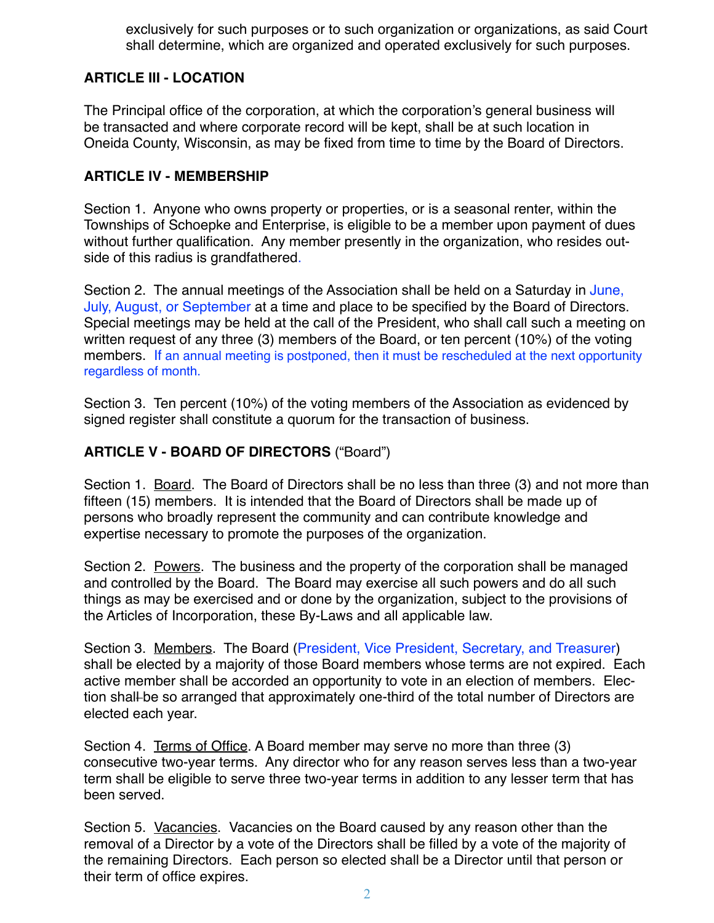exclusively for such purposes or to such organization or organizations, as said Court shall determine, which are organized and operated exclusively for such purposes.

# **ARTICLE III - LOCATION**

The Principal office of the corporation, at which the corporation's general business will be transacted and where corporate record will be kept, shall be at such location in Oneida County, Wisconsin, as may be fixed from time to time by the Board of Directors.

## **ARTICLE IV - MEMBERSHIP**

Section 1. Anyone who owns property or properties, or is a seasonal renter, within the Townships of Schoepke and Enterprise, is eligible to be a member upon payment of dues without further qualification. Any member presently in the organization, who resides outside of this radius is grandfathered.

Section 2. The annual meetings of the Association shall be held on a Saturday in June, July, August, or September at a time and place to be specified by the Board of Directors. Special meetings may be held at the call of the President, who shall call such a meeting on written request of any three (3) members of the Board, or ten percent (10%) of the voting members. If an annual meeting is postponed, then it must be rescheduled at the next opportunity regardless of month.

Section 3. Ten percent (10%) of the voting members of the Association as evidenced by signed register shall constitute a quorum for the transaction of business.

# **ARTICLE V - BOARD OF DIRECTORS** ("Board")

Section 1. Board. The Board of Directors shall be no less than three (3) and not more than fifteen (15) members. It is intended that the Board of Directors shall be made up of persons who broadly represent the community and can contribute knowledge and expertise necessary to promote the purposes of the organization.

Section 2. Powers. The business and the property of the corporation shall be managed and controlled by the Board. The Board may exercise all such powers and do all such things as may be exercised and or done by the organization, subject to the provisions of the Articles of Incorporation, these By-Laws and all applicable law.

Section 3. Members. The Board (President, Vice President, Secretary, and Treasurer) shall be elected by a majority of those Board members whose terms are not expired. Each active member shall be accorded an opportunity to vote in an election of members. Election shall-be so arranged that approximately one-third of the total number of Directors are elected each year.

Section 4. Terms of Office. A Board member may serve no more than three (3) consecutive two-year terms. Any director who for any reason serves less than a two-year term shall be eligible to serve three two-year terms in addition to any lesser term that has been served.

Section 5. Vacancies. Vacancies on the Board caused by any reason other than the removal of a Director by a vote of the Directors shall be filled by a vote of the majority of the remaining Directors. Each person so elected shall be a Director until that person or their term of office expires.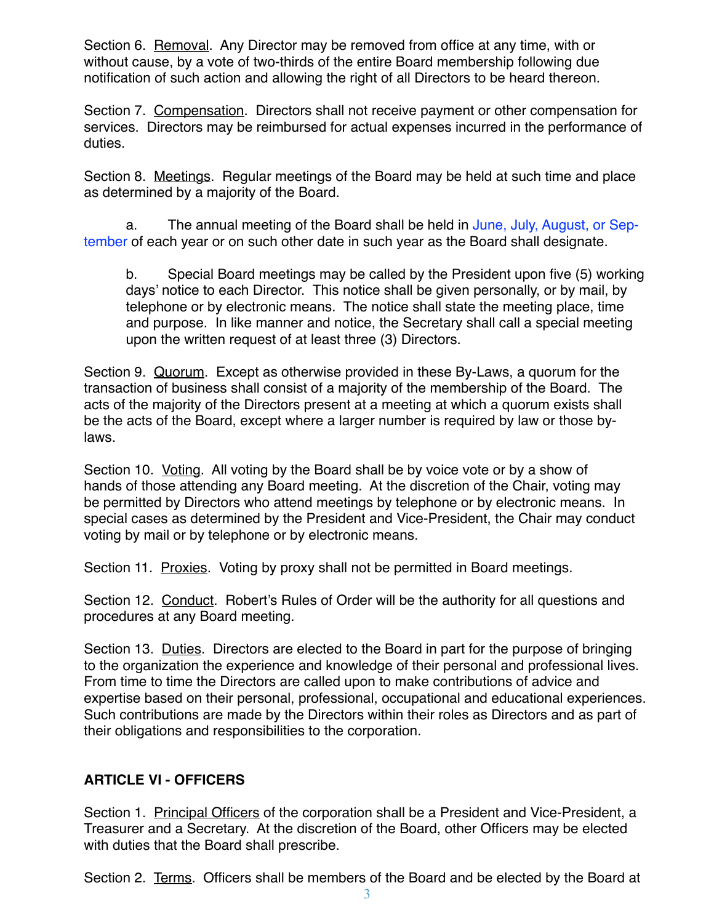Section 6. Removal. Any Director may be removed from office at any time, with or without cause, by a vote of two-thirds of the entire Board membership following due notification of such action and allowing the right of all Directors to be heard thereon.

Section 7. Compensation. Directors shall not receive payment or other compensation for services. Directors may be reimbursed for actual expenses incurred in the performance of duties.

Section 8. Meetings. Regular meetings of the Board may be held at such time and place as determined by a majority of the Board.

a. The annual meeting of the Board shall be held in June, July, August, or September of each year or on such other date in such year as the Board shall designate.

b. Special Board meetings may be called by the President upon five (5) working days' notice to each Director. This notice shall be given personally, or by mail, by telephone or by electronic means. The notice shall state the meeting place, time and purpose. In like manner and notice, the Secretary shall call a special meeting upon the written request of at least three (3) Directors.

Section 9. Quorum. Except as otherwise provided in these By-Laws, a quorum for the transaction of business shall consist of a majority of the membership of the Board. The acts of the majority of the Directors present at a meeting at which a quorum exists shall be the acts of the Board, except where a larger number is required by law or those bylaws.

Section 10. Voting. All voting by the Board shall be by voice vote or by a show of hands of those attending any Board meeting. At the discretion of the Chair, voting may be permitted by Directors who attend meetings by telephone or by electronic means. In special cases as determined by the President and Vice-President, the Chair may conduct voting by mail or by telephone or by electronic means.

Section 11. Proxies. Voting by proxy shall not be permitted in Board meetings.

Section 12. Conduct. Robert's Rules of Order will be the authority for all questions and procedures at any Board meeting.

Section 13. Duties. Directors are elected to the Board in part for the purpose of bringing to the organization the experience and knowledge of their personal and professional lives. From time to time the Directors are called upon to make contributions of advice and expertise based on their personal, professional, occupational and educational experiences. Such contributions are made by the Directors within their roles as Directors and as part of their obligations and responsibilities to the corporation.

# **ARTICLE VI - OFFICERS**

Section 1. Principal Officers of the corporation shall be a President and Vice-President, a Treasurer and a Secretary. At the discretion of the Board, other Officers may be elected with duties that the Board shall prescribe.

Section 2. Terms. Officers shall be members of the Board and be elected by the Board at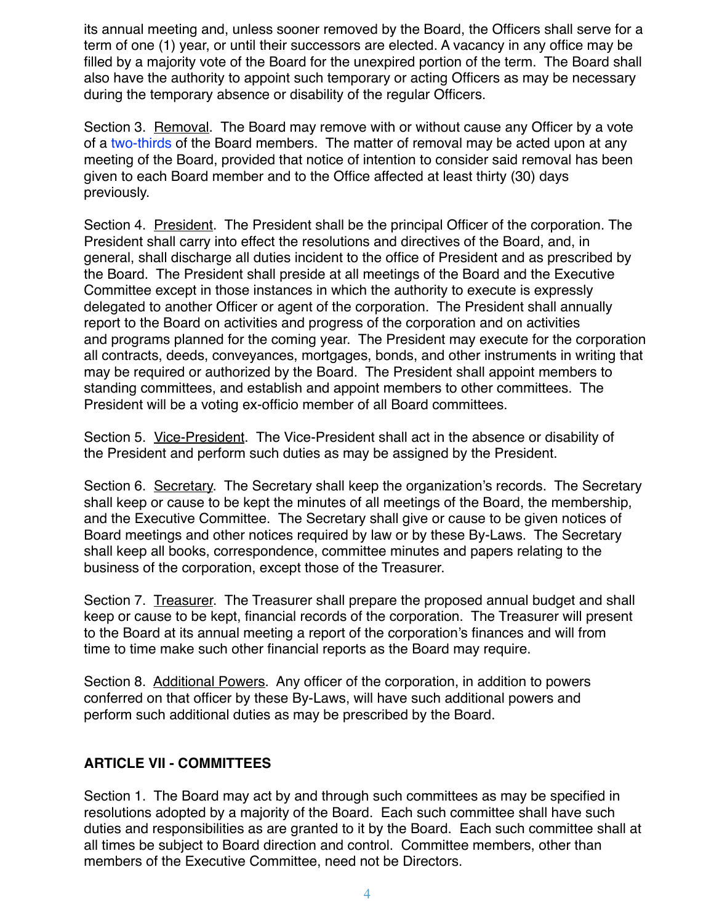its annual meeting and, unless sooner removed by the Board, the Officers shall serve for a term of one (1) year, or until their successors are elected. A vacancy in any office may be filled by a majority vote of the Board for the unexpired portion of the term. The Board shall also have the authority to appoint such temporary or acting Officers as may be necessary during the temporary absence or disability of the regular Officers.

Section 3. Removal. The Board may remove with or without cause any Officer by a vote of a two-thirds of the Board members. The matter of removal may be acted upon at any meeting of the Board, provided that notice of intention to consider said removal has been given to each Board member and to the Office affected at least thirty (30) days previously.

Section 4. President. The President shall be the principal Officer of the corporation. The President shall carry into effect the resolutions and directives of the Board, and, in general, shall discharge all duties incident to the office of President and as prescribed by the Board. The President shall preside at all meetings of the Board and the Executive Committee except in those instances in which the authority to execute is expressly delegated to another Officer or agent of the corporation. The President shall annually report to the Board on activities and progress of the corporation and on activities and programs planned for the coming year. The President may execute for the corporation all contracts, deeds, conveyances, mortgages, bonds, and other instruments in writing that may be required or authorized by the Board. The President shall appoint members to standing committees, and establish and appoint members to other committees. The President will be a voting ex-officio member of all Board committees.

Section 5. Vice-President. The Vice-President shall act in the absence or disability of the President and perform such duties as may be assigned by the President.

Section 6. Secretary. The Secretary shall keep the organization's records. The Secretary shall keep or cause to be kept the minutes of all meetings of the Board, the membership, and the Executive Committee. The Secretary shall give or cause to be given notices of Board meetings and other notices required by law or by these By-Laws. The Secretary shall keep all books, correspondence, committee minutes and papers relating to the business of the corporation, except those of the Treasurer.

Section 7. Treasurer. The Treasurer shall prepare the proposed annual budget and shall keep or cause to be kept, financial records of the corporation. The Treasurer will present to the Board at its annual meeting a report of the corporation's finances and will from time to time make such other financial reports as the Board may require.

Section 8. Additional Powers. Any officer of the corporation, in addition to powers conferred on that officer by these By-Laws, will have such additional powers and perform such additional duties as may be prescribed by the Board.

## **ARTICLE VII - COMMITTEES**

Section 1. The Board may act by and through such committees as may be specified in resolutions adopted by a majority of the Board. Each such committee shall have such duties and responsibilities as are granted to it by the Board. Each such committee shall at all times be subject to Board direction and control. Committee members, other than members of the Executive Committee, need not be Directors.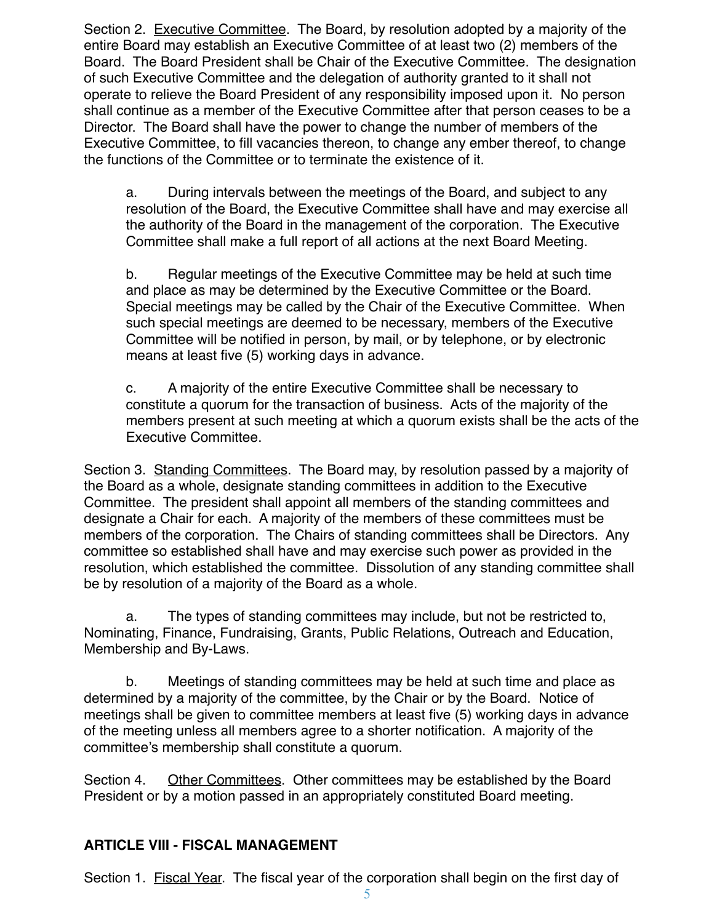Section 2. Executive Committee. The Board, by resolution adopted by a majority of the entire Board may establish an Executive Committee of at least two (2) members of the Board. The Board President shall be Chair of the Executive Committee. The designation of such Executive Committee and the delegation of authority granted to it shall not operate to relieve the Board President of any responsibility imposed upon it. No person shall continue as a member of the Executive Committee after that person ceases to be a Director. The Board shall have the power to change the number of members of the Executive Committee, to fill vacancies thereon, to change any ember thereof, to change the functions of the Committee or to terminate the existence of it.

a. During intervals between the meetings of the Board, and subject to any resolution of the Board, the Executive Committee shall have and may exercise all the authority of the Board in the management of the corporation. The Executive Committee shall make a full report of all actions at the next Board Meeting.

b. Regular meetings of the Executive Committee may be held at such time and place as may be determined by the Executive Committee or the Board. Special meetings may be called by the Chair of the Executive Committee. When such special meetings are deemed to be necessary, members of the Executive Committee will be notified in person, by mail, or by telephone, or by electronic means at least five (5) working days in advance.

c. A majority of the entire Executive Committee shall be necessary to constitute a quorum for the transaction of business. Acts of the majority of the members present at such meeting at which a quorum exists shall be the acts of the Executive Committee.

Section 3. Standing Committees. The Board may, by resolution passed by a majority of the Board as a whole, designate standing committees in addition to the Executive Committee. The president shall appoint all members of the standing committees and designate a Chair for each. A majority of the members of these committees must be members of the corporation. The Chairs of standing committees shall be Directors. Any committee so established shall have and may exercise such power as provided in the resolution, which established the committee. Dissolution of any standing committee shall be by resolution of a majority of the Board as a whole.

a. The types of standing committees may include, but not be restricted to, Nominating, Finance, Fundraising, Grants, Public Relations, Outreach and Education, Membership and By-Laws.

b. Meetings of standing committees may be held at such time and place as determined by a majority of the committee, by the Chair or by the Board. Notice of meetings shall be given to committee members at least five (5) working days in advance of the meeting unless all members agree to a shorter notification. A majority of the committee's membership shall constitute a quorum.

Section 4. Other Committees. Other committees may be established by the Board President or by a motion passed in an appropriately constituted Board meeting.

### **ARTICLE VIII - FISCAL MANAGEMENT**

Section 1. Fiscal Year. The fiscal year of the corporation shall begin on the first day of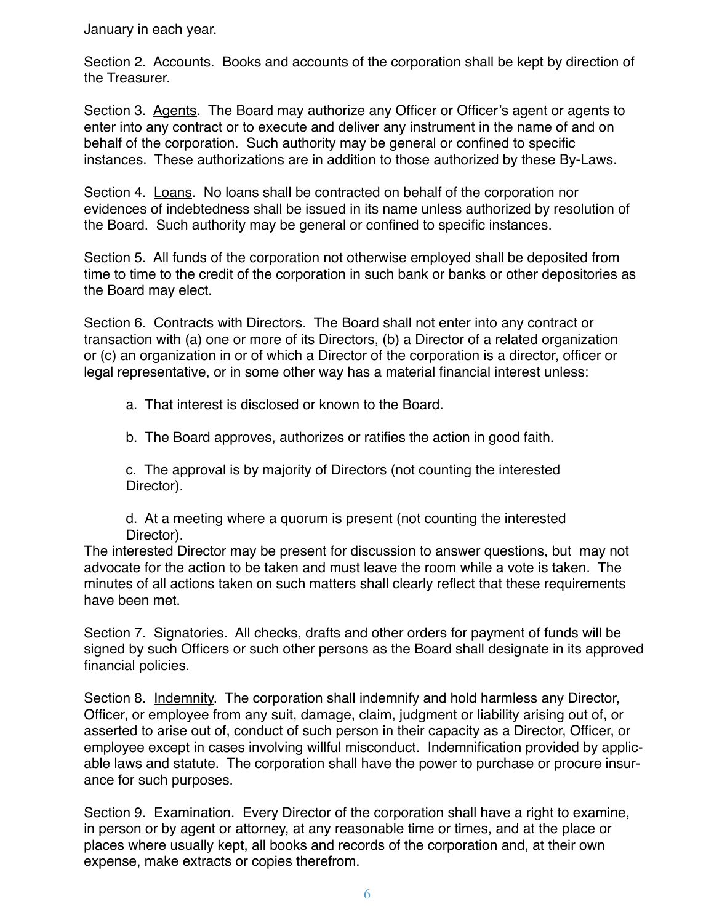January in each year.

Section 2. Accounts. Books and accounts of the corporation shall be kept by direction of the Treasurer.

Section 3. Agents. The Board may authorize any Officer or Officer's agent or agents to enter into any contract or to execute and deliver any instrument in the name of and on behalf of the corporation. Such authority may be general or confined to specific instances. These authorizations are in addition to those authorized by these By-Laws.

Section 4. Loans. No loans shall be contracted on behalf of the corporation nor evidences of indebtedness shall be issued in its name unless authorized by resolution of the Board. Such authority may be general or confined to specific instances.

Section 5. All funds of the corporation not otherwise employed shall be deposited from time to time to the credit of the corporation in such bank or banks or other depositories as the Board may elect.

Section 6. Contracts with Directors. The Board shall not enter into any contract or transaction with (a) one or more of its Directors, (b) a Director of a related organization or (c) an organization in or of which a Director of the corporation is a director, officer or legal representative, or in some other way has a material financial interest unless:

a. That interest is disclosed or known to the Board.

b. The Board approves, authorizes or ratifies the action in good faith.

c. The approval is by majority of Directors (not counting the interested Director).

d. At a meeting where a quorum is present (not counting the interested Director).

The interested Director may be present for discussion to answer questions, but may not advocate for the action to be taken and must leave the room while a vote is taken. The minutes of all actions taken on such matters shall clearly reflect that these requirements have been met.

Section 7. Signatories. All checks, drafts and other orders for payment of funds will be signed by such Officers or such other persons as the Board shall designate in its approved financial policies.

Section 8. Indemnity. The corporation shall indemnify and hold harmless any Director, Officer, or employee from any suit, damage, claim, judgment or liability arising out of, or asserted to arise out of, conduct of such person in their capacity as a Director, Officer, or employee except in cases involving willful misconduct. Indemnification provided by applicable laws and statute. The corporation shall have the power to purchase or procure insurance for such purposes.

Section 9. Examination. Every Director of the corporation shall have a right to examine, in person or by agent or attorney, at any reasonable time or times, and at the place or places where usually kept, all books and records of the corporation and, at their own expense, make extracts or copies therefrom.